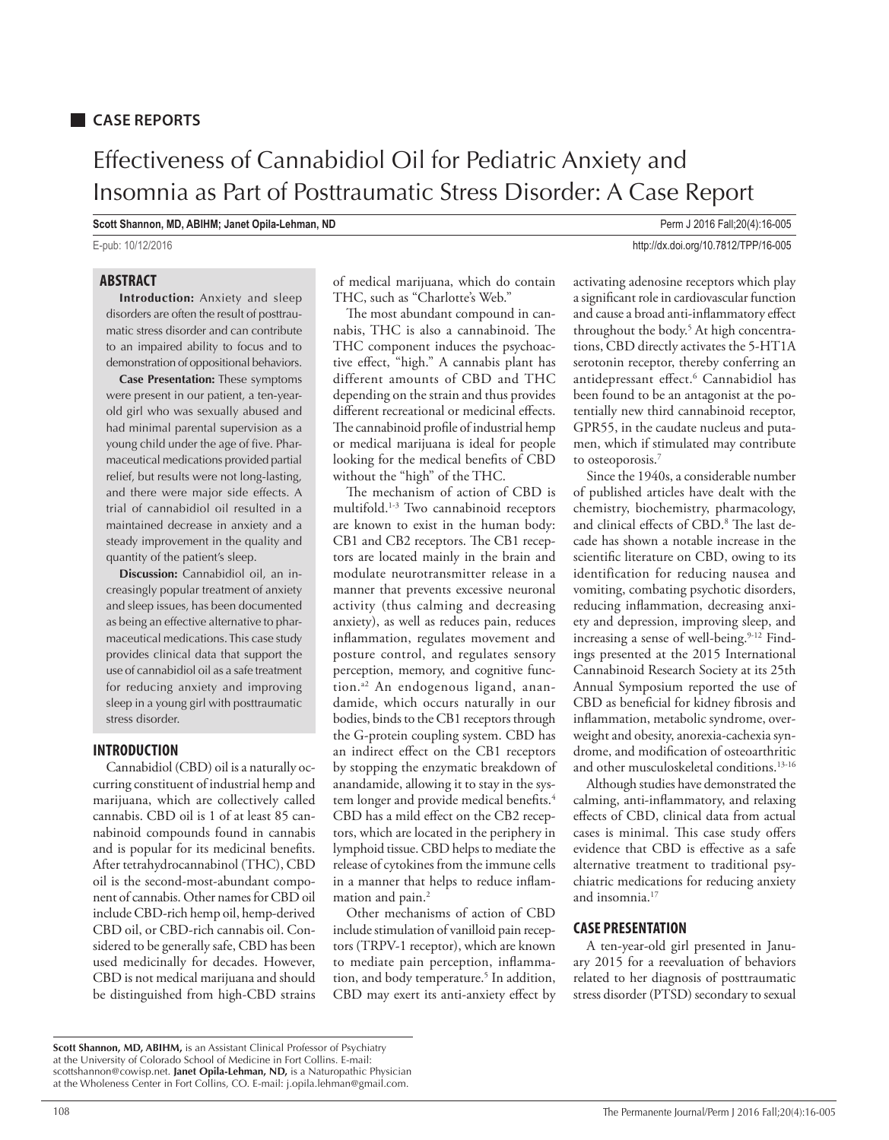# **CASE REPORTS**

# Effectiveness of Cannabidiol Oil for Pediatric Anxiety and Insomnia as Part of Posttraumatic Stress Disorder: A Case Report

**Scott Shannon, MD, ABIHM; Janet Opila-Lehman, ND Perm J 2016 Fall**;20(4):16-005

E-pub: 10/12/2016 http://dx.doi.org/10.7812/TPP/16-005

# **ABSTRACT**

**Introduction:** Anxiety and sleep disorders are often the result of posttraumatic stress disorder and can contribute to an impaired ability to focus and to demonstration of oppositional behaviors.

**Case Presentation:** These symptoms were present in our patient, a ten-yearold girl who was sexually abused and had minimal parental supervision as a young child under the age of five. Pharmaceutical medications provided partial relief, but results were not long-lasting, and there were major side effects. A trial of cannabidiol oil resulted in a maintained decrease in anxiety and a steady improvement in the quality and quantity of the patient's sleep.

**Discussion:** Cannabidiol oil, an increasingly popular treatment of anxiety and sleep issues, has been documented as being an effective alternative to pharmaceutical medications. This case study provides clinical data that support the use of cannabidiol oil as a safe treatment for reducing anxiety and improving sleep in a young girl with posttraumatic stress disorder.

### **INTRODUCTION**

Cannabidiol (CBD) oil is a naturally occurring constituent of industrial hemp and marijuana, which are collectively called cannabis. CBD oil is 1 of at least 85 cannabinoid compounds found in cannabis and is popular for its medicinal benefits. After tetrahydrocannabinol (THC), CBD oil is the second-most-abundant component of cannabis. Other names for CBD oil include CBD-rich hemp oil, hemp-derived CBD oil, or CBD-rich cannabis oil. Considered to be generally safe, CBD has been used medicinally for decades. However, CBD is not medical marijuana and should be distinguished from high-CBD strains of medical marijuana, which do contain THC, such as "Charlotte's Web."

The most abundant compound in cannabis, THC is also a cannabinoid. The THC component induces the psychoactive effect, "high." A cannabis plant has different amounts of CBD and THC depending on the strain and thus provides different recreational or medicinal effects. The cannabinoid profile of industrial hemp or medical marijuana is ideal for people looking for the medical benefits of CBD without the "high" of the THC.

The mechanism of action of CBD is multifold.1-3 Two cannabinoid receptors are known to exist in the human body: CB1 and CB2 receptors. The CB1 receptors are located mainly in the brain and modulate neurotransmitter release in a manner that prevents excessive neuronal activity (thus calming and decreasing anxiety), as well as reduces pain, reduces inflammation, regulates movement and posture control, and regulates sensory perception, memory, and cognitive function.<sup>a2</sup> An endogenous ligand, anandamide, which occurs naturally in our bodies, binds to the CB1 receptors through the G-protein coupling system. CBD has an indirect effect on the CB1 receptors by stopping the enzymatic breakdown of anandamide, allowing it to stay in the system longer and provide medical benefits.<sup>4</sup> CBD has a mild effect on the CB2 receptors, which are located in the periphery in lymphoid tissue. CBD helps to mediate the release of cytokines from the immune cells in a manner that helps to reduce inflammation and pain.<sup>2</sup>

Other mechanisms of action of CBD include stimulation of vanilloid pain receptors (TRPV-1 receptor), which are known to mediate pain perception, inflammation, and body temperature.<sup>5</sup> In addition, CBD may exert its anti-anxiety effect by

activating adenosine receptors which play a significant role in cardiovascular function and cause a broad anti-inflammatory effect throughout the body.<sup>5</sup> At high concentrations, CBD directly activates the 5-HT1A serotonin receptor, thereby conferring an antidepressant effect.6 Cannabidiol has been found to be an antagonist at the potentially new third cannabinoid receptor, GPR55, in the caudate nucleus and putamen, which if stimulated may contribute to osteoporosis.7

Since the 1940s, a considerable number of published articles have dealt with the chemistry, biochemistry, pharmacology, and clinical effects of CBD.8 The last decade has shown a notable increase in the scientific literature on CBD, owing to its identification for reducing nausea and vomiting, combating psychotic disorders, reducing inflammation, decreasing anxiety and depression, improving sleep, and increasing a sense of well-being.<sup>9-12</sup> Findings presented at the 2015 International Cannabinoid Research Society at its 25th Annual Symposium reported the use of CBD as beneficial for kidney fibrosis and inflammation, metabolic syndrome, overweight and obesity, anorexia-cachexia syndrome, and modification of osteoarthritic and other musculoskeletal conditions.<sup>13-16</sup>

Although studies have demonstrated the calming, anti-inflammatory, and relaxing effects of CBD, clinical data from actual cases is minimal. This case study offers evidence that CBD is effective as a safe alternative treatment to traditional psychiatric medications for reducing anxiety and insomnia.<sup>17</sup>

## **CASE PRESENTATION**

A ten-year-old girl presented in January 2015 for a reevaluation of behaviors related to her diagnosis of posttraumatic stress disorder (PTSD) secondary to sexual

**Scott Shannon, MD, ABIHM,** is an Assistant Clinical Professor of Psychiatry at the University of Colorado School of Medicine in Fort Collins. E-mail: scottshannon@cowisp.net. **Janet Opila-Lehman, ND,** is a Naturopathic Physician at the Wholeness Center in Fort Collins, CO. E-mail: j.opila.lehman@gmail.com.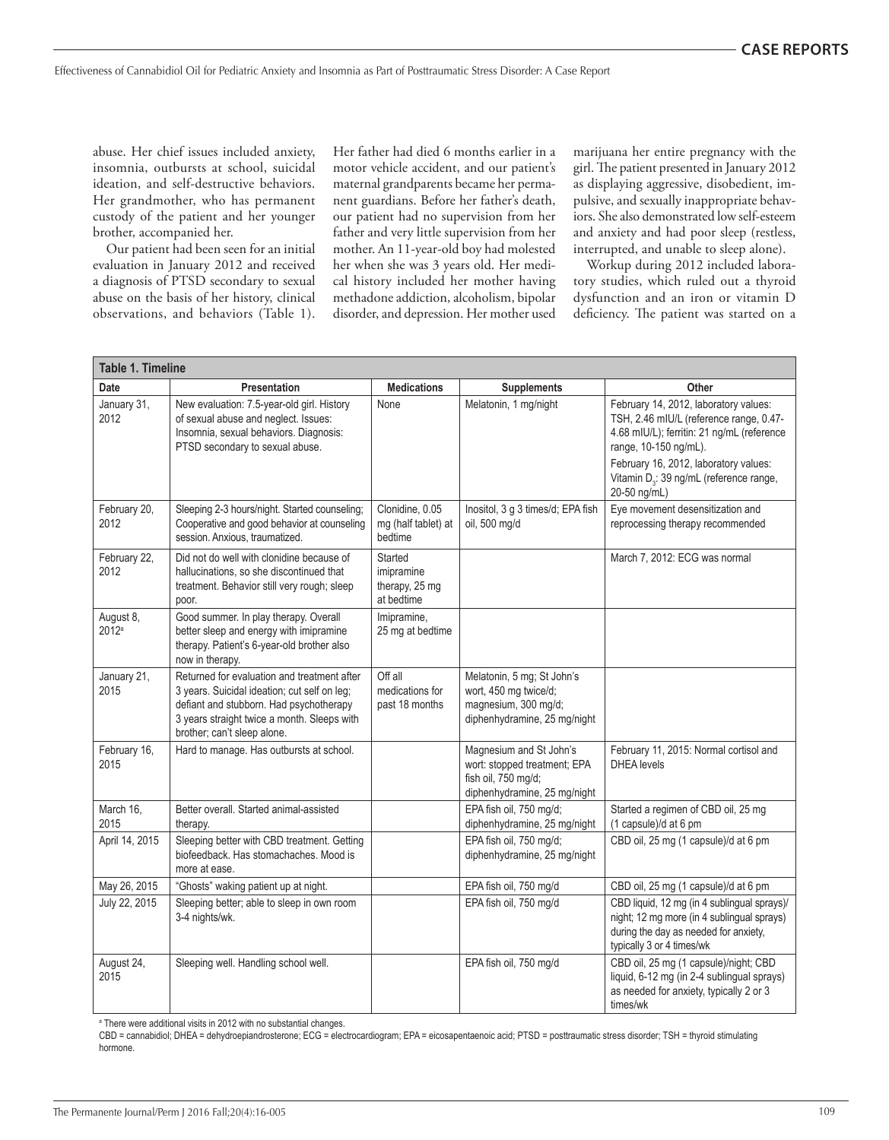abuse. Her chief issues included anxiety, insomnia, outbursts at school, suicidal ideation, and self-destructive behaviors. Her grandmother, who has permanent custody of the patient and her younger brother, accompanied her.

Our patient had been seen for an initial evaluation in January 2012 and received a diagnosis of PTSD secondary to sexual abuse on the basis of her history, clinical observations, and behaviors (Table 1).

Her father had died 6 months earlier in a motor vehicle accident, and our patient's maternal grandparents became her permanent guardians. Before her father's death, our patient had no supervision from her father and very little supervision from her mother. An 11-year-old boy had molested her when she was 3 years old. Her medical history included her mother having methadone addiction, alcoholism, bipolar disorder, and depression. Her mother used

marijuana her entire pregnancy with the girl. The patient presented in January 2012 as displaying aggressive, disobedient, impulsive, and sexually inappropriate behaviors. She also demonstrated low self-esteem and anxiety and had poor sleep (restless, interrupted, and unable to sleep alone).

Workup during 2012 included laboratory studies, which ruled out a thyroid dysfunction and an iron or vitamin D deficiency. The patient was started on a

| <b>Table 1. Timeline</b> |                                                                                                                                                                                                                      |                                                       |                                                                                                                |                                                                                                                                                                                                                                                                         |  |
|--------------------------|----------------------------------------------------------------------------------------------------------------------------------------------------------------------------------------------------------------------|-------------------------------------------------------|----------------------------------------------------------------------------------------------------------------|-------------------------------------------------------------------------------------------------------------------------------------------------------------------------------------------------------------------------------------------------------------------------|--|
| Date                     | Presentation                                                                                                                                                                                                         | <b>Medications</b>                                    | <b>Supplements</b>                                                                                             | Other                                                                                                                                                                                                                                                                   |  |
| January 31,<br>2012      | New evaluation: 7.5-year-old girl. History<br>of sexual abuse and neglect. Issues:<br>Insomnia, sexual behaviors. Diagnosis:<br>PTSD secondary to sexual abuse.                                                      | None                                                  | Melatonin, 1 mg/night                                                                                          | February 14, 2012, laboratory values:<br>TSH, 2.46 mIU/L (reference range, 0.47-<br>4.68 mIU/L); ferritin: 21 ng/mL (reference<br>range, 10-150 ng/mL).<br>February 16, 2012, laboratory values:<br>Vitamin D <sub>3</sub> : 39 ng/mL (reference range,<br>20-50 ng/mL) |  |
| February 20.<br>2012     | Sleeping 2-3 hours/night. Started counseling;<br>Cooperative and good behavior at counseling<br>session. Anxious, traumatized.                                                                                       | Clonidine, 0.05<br>mg (half tablet) at<br>bedtime     | Inositol, 3 g 3 times/d; EPA fish<br>oil, 500 mg/d                                                             | Eye movement desensitization and<br>reprocessing therapy recommended                                                                                                                                                                                                    |  |
| February 22,<br>2012     | Did not do well with clonidine because of<br>hallucinations, so she discontinued that<br>treatment. Behavior still very rough; sleep<br>poor.                                                                        | Started<br>imipramine<br>therapy, 25 mg<br>at bedtime |                                                                                                                | March 7, 2012: ECG was normal                                                                                                                                                                                                                                           |  |
| August 8,<br>2012a       | Good summer. In play therapy. Overall<br>better sleep and energy with imipramine<br>therapy. Patient's 6-year-old brother also<br>now in therapy.                                                                    | Imipramine,<br>25 mg at bedtime                       |                                                                                                                |                                                                                                                                                                                                                                                                         |  |
| January 21,<br>2015      | Returned for evaluation and treatment after<br>3 years. Suicidal ideation; cut self on leg;<br>defiant and stubborn. Had psychotherapy<br>3 years straight twice a month. Sleeps with<br>brother; can't sleep alone. | Off all<br>medications for<br>past 18 months          | Melatonin, 5 mg; St John's<br>wort, 450 mg twice/d;<br>magnesium, 300 mg/d;<br>diphenhydramine, 25 mg/night    |                                                                                                                                                                                                                                                                         |  |
| February 16,<br>2015     | Hard to manage. Has outbursts at school.                                                                                                                                                                             |                                                       | Magnesium and St John's<br>wort: stopped treatment; EPA<br>fish oil, 750 mg/d;<br>diphenhydramine, 25 mg/night | February 11, 2015: Normal cortisol and<br><b>DHEA</b> levels                                                                                                                                                                                                            |  |
| March 16,<br>2015        | Better overall. Started animal-assisted<br>therapy.                                                                                                                                                                  |                                                       | EPA fish oil, 750 mg/d;<br>diphenhydramine, 25 mg/night                                                        | Started a regimen of CBD oil, 25 mg<br>(1 capsule)/d at 6 pm                                                                                                                                                                                                            |  |
| April 14, 2015           | Sleeping better with CBD treatment. Getting<br>biofeedback. Has stomachaches. Mood is<br>more at ease.                                                                                                               |                                                       | EPA fish oil, 750 mg/d;<br>diphenhydramine, 25 mg/night                                                        | CBD oil, 25 mg (1 capsule)/d at 6 pm                                                                                                                                                                                                                                    |  |
| May 26, 2015             | "Ghosts" waking patient up at night.                                                                                                                                                                                 |                                                       | EPA fish oil, 750 mg/d                                                                                         | CBD oil, 25 mg (1 capsule)/d at 6 pm                                                                                                                                                                                                                                    |  |
| July 22, 2015            | Sleeping better; able to sleep in own room<br>3-4 nights/wk.                                                                                                                                                         |                                                       | EPA fish oil, 750 mg/d                                                                                         | CBD liquid, 12 mg (in 4 sublingual sprays)/<br>night; 12 mg more (in 4 sublingual sprays)<br>during the day as needed for anxiety,<br>typically 3 or 4 times/wk                                                                                                         |  |
| August 24,<br>2015       | Sleeping well. Handling school well.                                                                                                                                                                                 |                                                       | EPA fish oil, 750 mg/d                                                                                         | CBD oil, 25 mg (1 capsule)/night; CBD<br>liquid, 6-12 mg (in 2-4 sublingual sprays)<br>as needed for anxiety, typically 2 or 3<br>times/wk                                                                                                                              |  |

<sup>a</sup> There were additional visits in 2012 with no substantial changes.

CBD = cannabidiol; DHEA = dehydroepiandrosterone; ECG = electrocardiogram; EPA = eicosapentaenoic acid; PTSD = posttraumatic stress disorder; TSH = thyroid stimulating hormone.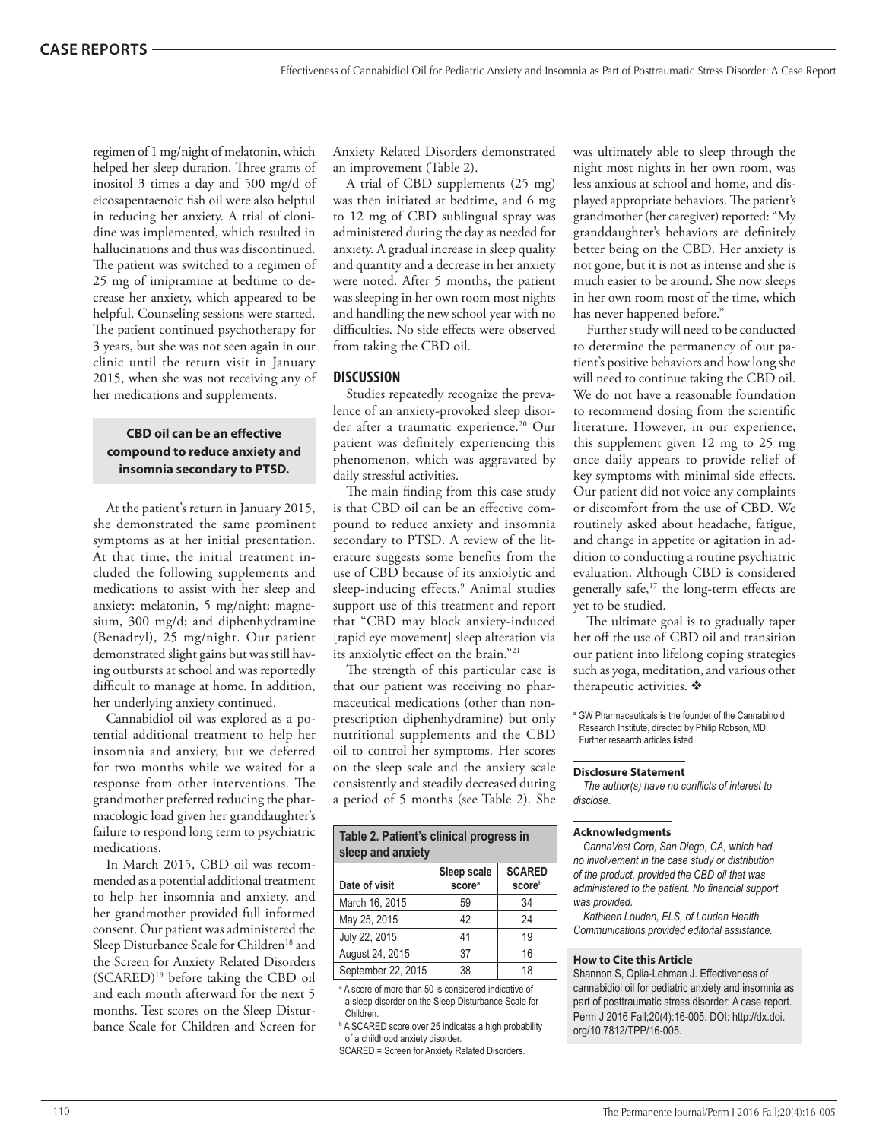regimen of 1 mg/night of melatonin, which helped her sleep duration. Three grams of inositol 3 times a day and 500 mg/d of eicosapentaenoic fish oil were also helpful in reducing her anxiety. A trial of clonidine was implemented, which resulted in hallucinations and thus was discontinued. The patient was switched to a regimen of 25 mg of imipramine at bedtime to decrease her anxiety, which appeared to be helpful. Counseling sessions were started. The patient continued psychotherapy for 3 years, but she was not seen again in our clinic until the return visit in January 2015, when she was not receiving any of her medications and supplements.

# **CBD oil can be an effective compound to reduce anxiety and insomnia secondary to PTSD.**

At the patient's return in January 2015, she demonstrated the same prominent symptoms as at her initial presentation. At that time, the initial treatment included the following supplements and medications to assist with her sleep and anxiety: melatonin, 5 mg/night; magnesium, 300 mg/d; and diphenhydramine (Benadryl), 25 mg/night. Our patient demonstrated slight gains but was still having outbursts at school and was reportedly difficult to manage at home. In addition, her underlying anxiety continued.

Cannabidiol oil was explored as a potential additional treatment to help her insomnia and anxiety, but we deferred for two months while we waited for a response from other interventions. The grandmother preferred reducing the pharmacologic load given her granddaughter's failure to respond long term to psychiatric medications.

In March 2015, CBD oil was recommended as a potential additional treatment to help her insomnia and anxiety, and her grandmother provided full informed consent. Our patient was administered the Sleep Disturbance Scale for Children<sup>18</sup> and the Screen for Anxiety Related Disorders (SCARED)19 before taking the CBD oil and each month afterward for the next 5 months. Test scores on the Sleep Disturbance Scale for Children and Screen for

Anxiety Related Disorders demonstrated an improvement (Table 2).

A trial of CBD supplements (25 mg) was then initiated at bedtime, and 6 mg to 12 mg of CBD sublingual spray was administered during the day as needed for anxiety. A gradual increase in sleep quality and quantity and a decrease in her anxiety were noted. After 5 months, the patient was sleeping in her own room most nights and handling the new school year with no difficulties. No side effects were observed from taking the CBD oil.

#### **DISCUSSION**

Studies repeatedly recognize the prevalence of an anxiety-provoked sleep disorder after a traumatic experience.<sup>20</sup> Our patient was definitely experiencing this phenomenon, which was aggravated by daily stressful activities.

The main finding from this case study is that CBD oil can be an effective compound to reduce anxiety and insomnia secondary to PTSD. A review of the literature suggests some benefits from the use of CBD because of its anxiolytic and sleep-inducing effects.9 Animal studies support use of this treatment and report that "CBD may block anxiety-induced [rapid eye movement] sleep alteration via its anxiolytic effect on the brain."21

The strength of this particular case is that our patient was receiving no pharmaceutical medications (other than nonprescription diphenhydramine) but only nutritional supplements and the CBD oil to control her symptoms. Her scores on the sleep scale and the anxiety scale consistently and steadily decreased during a period of 5 months (see Table 2). She

| Table 2. Patient's clinical progress in<br>sleep and anxiety |                    |               |  |  |  |
|--------------------------------------------------------------|--------------------|---------------|--|--|--|
|                                                              | Sleep scale        | <b>SCARED</b> |  |  |  |
| Date of visit                                                | score <sup>a</sup> | scoreb        |  |  |  |
| March 16, 2015                                               | 59                 | 34            |  |  |  |
| May 25, 2015                                                 | 42                 | 24            |  |  |  |
| July 22, 2015                                                | 41                 | 19            |  |  |  |
| August 24, 2015                                              | 37                 | 16            |  |  |  |
| September 22, 2015                                           | 38                 | 18            |  |  |  |

a A score of more than 50 is considered indicative of a sleep disorder on the Sleep Disturbance Scale for Children.

<sup>b</sup> A SCARED score over 25 indicates a high probability of a childhood anxiety disorder.

SCARED = Screen for Anxiety Related Disorders.

was ultimately able to sleep through the night most nights in her own room, was less anxious at school and home, and displayed appropriate behaviors. The patient's grandmother (her caregiver) reported: "My granddaughter's behaviors are definitely better being on the CBD. Her anxiety is not gone, but it is not as intense and she is much easier to be around. She now sleeps in her own room most of the time, which has never happened before."

Further study will need to be conducted to determine the permanency of our patient's positive behaviors and how long she will need to continue taking the CBD oil. We do not have a reasonable foundation to recommend dosing from the scientific literature. However, in our experience, this supplement given 12 mg to 25 mg once daily appears to provide relief of key symptoms with minimal side effects. Our patient did not voice any complaints or discomfort from the use of CBD. We routinely asked about headache, fatigue, and change in appetite or agitation in addition to conducting a routine psychiatric evaluation. Although CBD is considered generally safe, $17$  the long-term effects are yet to be studied.

The ultimate goal is to gradually taper her off the use of CBD oil and transition our patient into lifelong coping strategies such as yoga, meditation, and various other therapeutic activities.  $*$ 

a GW Pharmaceuticals is the founder of the Cannabinoid Research Institute, directed by Philip Robson, MD. Further research articles listed.

#### **Disclosure Statement**

*The author(s) have no conflicts of interest to disclose.*

#### **Acknowledgments**

*CannaVest Corp, San Diego, CA, which had no involvement in the case study or distribution of the product, provided the CBD oil that was administered to the patient. No financial support was provided.* 

*Kathleen Louden, ELS, of Louden Health Communications provided editorial assistance.*

#### **How to Cite this Article**

Shannon S, Oplia-Lehman J. Effectiveness of cannabidiol oil for pediatric anxiety and insomnia as part of posttraumatic stress disorder: A case report. Perm J 2016 Fall;20(4):16-005. DOI: http://dx.doi. org/10.7812/TPP/16-005.